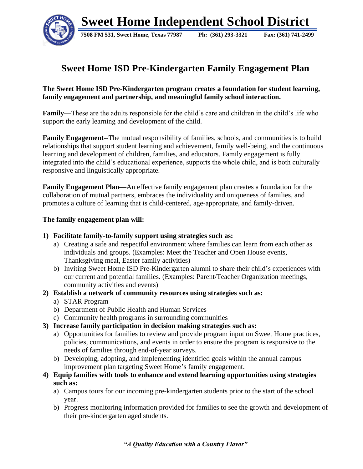

## **Sweet Home ISD Pre-Kindergarten Family Engagement Plan**

## **The Sweet Home ISD Pre-Kindergarten program creates a foundation for student learning, family engagement and partnership, and meaningful family school interaction.**

**Family**—These are the adults responsible for the child's care and children in the child's life who support the early learning and development of the child.

**Family Engagement**--The mutual responsibility of families, schools, and communities is to build relationships that support student learning and achievement, family well-being, and the continuous learning and development of children, families, and educators. Family engagement is fully integrated into the child's educational experience, supports the whole child, and is both culturally responsive and linguistically appropriate.

**Family Engagement Plan—**An effective family engagement plan creates a foundation for the collaboration of mutual partners, embraces the individuality and uniqueness of families, and promotes a culture of learning that is child-centered, age-appropriate, and family-driven.

## **The family engagement plan will:**

## **1) Facilitate family-to-family support using strategies such as:**

- a) Creating a safe and respectful environment where families can learn from each other as individuals and groups. (Examples: Meet the Teacher and Open House events, Thanksgiving meal, Easter family activities)
- b) Inviting Sweet Home ISD Pre-Kindergarten alumni to share their child's experiences with our current and potential families. (Examples: Parent/Teacher Organization meetings, community activities and events)
- **2) Establish a network of community resources using strategies such as:**
	- a) STAR Program
	- b) Department of Public Health and Human Services
	- c) Community health programs in surrounding communities
- **3) Increase family participation in decision making strategies such as:**
	- a) Opportunities for families to review and provide program input on Sweet Home practices, policies, communications, and events in order to ensure the program is responsive to the needs of families through end-of-year surveys.
	- b) Developing, adopting, and implementing identified goals within the annual campus improvement plan targeting Sweet Home's family engagement.
- **4) Equip families with tools to enhance and extend learning opportunities using strategies such as:**
	- a) Campus tours for our incoming pre-kindergarten students prior to the start of the school year.
	- b) Progress monitoring information provided for families to see the growth and development of their pre-kindergarten aged students.

*"A Quality Education with a Country Flavor"*